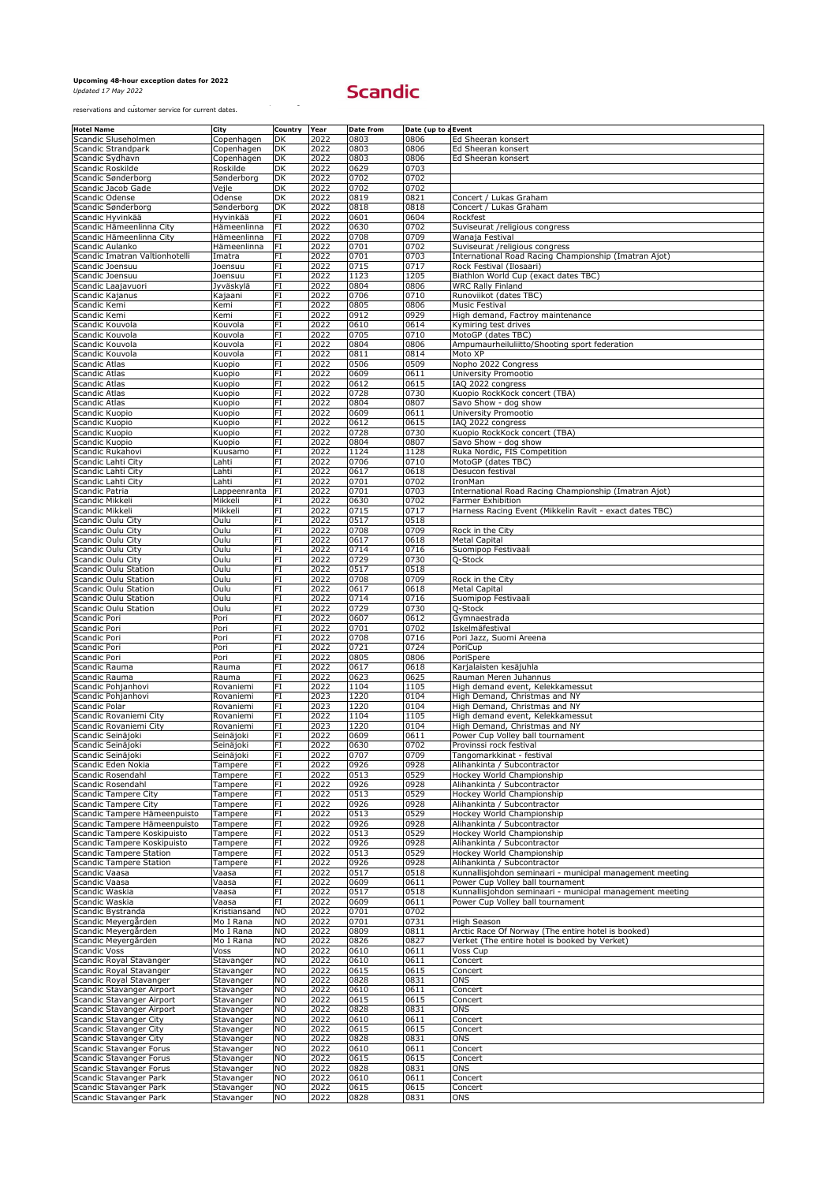*Updated 17 May 2022*

| <b>Hotel Name</b>                                  | <b>City</b>              | Country Year                      |              | <b>Date from</b> | Date (up to a Event |                                                                                              |
|----------------------------------------------------|--------------------------|-----------------------------------|--------------|------------------|---------------------|----------------------------------------------------------------------------------------------|
| Scandic Sluseholmen                                | Copenhagen               | DK                                | 2022         | 0803             | 0806                | Ed Sheeran konsert                                                                           |
| Scandic Strandpark<br>Scandic Sydhavn              | Copenhagen<br>Copenhagen | <b>DK</b><br><b>DK</b>            | 2022<br>2022 | 0803<br>0803     | 0806<br>0806        | Ed Sheeran konsert<br>Ed Sheeran konsert                                                     |
| Scandic Roskilde                                   | Roskilde                 | DK                                | 2022         | 0629             | 0703                |                                                                                              |
| Scandic Sønderborg                                 | Sønderborg               | DK                                | 2022         | 0702             | 0702                |                                                                                              |
| Scandic Jacob Gade                                 | Vejle                    | <b>DK</b>                         | 2022         | 0702             | 0702                |                                                                                              |
| Scandic Odense                                     | <b>Odense</b>            | <b>DK</b>                         | 2022         | 0819             | 0821                | Concert / Lukas Graham                                                                       |
| Scandic Sønderborg<br>Scandic Hyvinkää             | Sønderborg<br>Hyvinkää   | DK<br>FI                          | 2022<br>2022 | 0818<br>0601     | 0818<br>0604        | Concert / Lukas Graham<br>Rockfest                                                           |
| Scandic Hämeenlinna City                           | Hämeenlinna              | <b>IFI</b>                        | 2022         | 0630             | 0702                | Suviseurat / religious congress                                                              |
| Scandic Hämeenlinna City                           | Hämeenlinna              | <b>FI</b>                         | 2022         | 0708             | 0709                | Wanaja Festival                                                                              |
| Scandic Aulanko                                    | Hämeenlinna              | FI                                | 2022         | 0701             | 0702                | Suviseurat / religious congress                                                              |
| Scandic Imatran Valtionhotelli                     | Imatra                   | FI                                | 2022         | 0701             | 0703                | International Road Racing Championship (Imatran Ajot)                                        |
| Scandic Joensuu                                    | Joensuu                  | FI                                | 2022         | 0715             | 0717                | Rock Festival (Ilosaari)                                                                     |
| Scandic Joensuu                                    | Joensuu                  | $ \mathsf{FI} $                   | 2022         | 1123             | 1205                | Biathlon World Cup (exact dates TBC)                                                         |
| Scandic Laajavuori                                 | Jyväskylä                | FI                                | 2022         | 0804             | 0806                | <b>WRC Rally Finland</b>                                                                     |
| Scandic Kajanus<br>Scandic Kemi                    | Kajaani<br>Kemi          | FI<br> FI                         | 2022<br>2022 | 0706<br>0805     | 0710<br>0806        | Runoviikot (dates TBC)<br><b>Music Festival</b>                                              |
| Scandic Kemi                                       | Kemi                     | $\overline{H}$                    | 2022         | 0912             | 0929                | High demand, Factroy maintenance                                                             |
| Scandic Kouvola                                    | Kouvola                  | FI                                | 2022         | 0610             | 0614                | Kymiring test drives                                                                         |
| Scandic Kouvola                                    | Kouvola                  | FI                                | 2022         | 0705             | 0710                | MotoGP (dates TBC)                                                                           |
| Scandic Kouvola                                    | Kouvola                  | $\overline{H}$                    | 2022         | 0804             | 0806                | Ampumaurheiluliitto/Shooting sport federation                                                |
| Scandic Kouvola                                    | Kouvola                  | FI                                | 2022         | 0811             | 0814                | Moto XP                                                                                      |
| <b>Scandic Atlas</b>                               | Kuopio                   | FI                                | 2022         | 0506             | 0509                | Nopho 2022 Congress                                                                          |
| <b>Scandic Atlas</b><br><b>Scandic Atlas</b>       | Kuopio                   | $ \mathsf{FI} $<br>$\overline{H}$ | 2022<br>2022 | 0609<br>0612     | 0611<br>0615        | University Promootio<br>IAQ 2022 congress                                                    |
| <b>Scandic Atlas</b>                               | Kuopio<br>Kuopio         | FI                                | 2022         | 0728             | 0730                | Kuopio RockKock concert (TBA)                                                                |
| Scandic Atlas                                      | Kuopio                   | FI                                | 2022         | 0804             | 0807                | Savo Show - dog show                                                                         |
| Scandic Kuopio                                     | Kuopio                   | FI                                | 2022         | 0609             | 0611                | University Promootio                                                                         |
| Scandic Kuopio                                     | Kuopio                   | FI                                | 2022         | 0612             | 0615                | IAQ 2022 congress                                                                            |
| Scandic Kuopio                                     | Kuopio                   | FI                                | 2022         | 0728             | 0730                | Kuopio RockKock concert (TBA)                                                                |
| Scandic Kuopio                                     | Kuopio                   | FI                                | 2022         | 0804             | 0807                | Savo Show - dog show                                                                         |
| Scandic Rukahovi                                   | Kuusamo                  | FI                                | 2022         | 1124             | 1128                | Ruka Nordic, FIS Competition                                                                 |
| Scandic Lahti City<br>Scandic Lahti City           | Lahti<br>Lahti           | FI<br>FI                          | 2022<br>2022 | 0706<br>0617     | 0710<br>0618        | MotoGP (dates TBC)<br>Desucon festival                                                       |
| Scandic Lahti City                                 | Lahti                    | $\overline{H}$                    | 2022         | 0701             | 0702                | IronMan                                                                                      |
| Scandic Patria                                     | Lappeenranta             | <b>IFI</b>                        | 2022         | 0701             | 0703                | International Road Racing Championship (Imatran Ajot)                                        |
| Scandic Mikkeli                                    | Mikkeli                  | FI                                | 2022         | 0630             | 0702                | <b>Farmer Exhibition</b>                                                                     |
| Scandic Mikkeli                                    | Mikkeli                  | FI                                | 2022         | 0715             | 0717                | Harness Racing Event (Mikkelin Ravit - exact dates TBC)                                      |
| Scandic Oulu City                                  | Oulu                     | FI                                | 2022         | 0517             | 0518                |                                                                                              |
| Scandic Oulu City                                  | Oulu                     | FI                                | 2022         | 0708             | 0709                | Rock in the City                                                                             |
| Scandic Oulu City                                  | Oulu                     | FI                                | 2022         | 0617             | 0618                | <b>Metal Capital</b>                                                                         |
| Scandic Oulu City<br>Scandic Oulu City             | Oulu<br>Oulu             | FI<br>FI                          | 2022<br>2022 | 0714<br>0729     | 0716<br>0730        | Suomipop Festivaali<br>$\overline{Q}$ -Stock                                                 |
| Scandic Oulu Station                               | Oulu                     | FI                                | 2022         | 0517             | 0518                |                                                                                              |
| Scandic Oulu Station                               | Oulu                     | FI                                | 2022         | 0708             | 0709                | Rock in the City                                                                             |
| Scandic Oulu Station                               | Oulu                     | FI                                | 2022         | 0617             | 0618                | <b>Metal Capital</b>                                                                         |
| Scandic Oulu Station                               | Oulu                     | FI                                | 2022         | 0714             | 0716                | Suomipop Festivaali                                                                          |
| Scandic Oulu Station                               | Oulu                     | FI                                | 2022         | 0729             | 0730                | Q-Stock                                                                                      |
| Scandic Pori                                       | Pori                     | FI                                | 2022         | 0607             | 0612                | Gymnaestrada                                                                                 |
| Scandic Pori                                       | Pori                     | FI                                | 2022         | 0701             | 0702                | Iskelmäfestival                                                                              |
| Scandic Pori<br>Scandic Pori                       | Pori<br>Pori             | FI<br>FI                          | 2022<br>2022 | 0708<br>0721     | 0716<br>0724        | Pori Jazz, Suomi Areena<br>PoriCup                                                           |
| Scandic Pori                                       | Pori                     | FI                                | 2022         | 0805             | 0806                | PoriSpere                                                                                    |
| Scandic Rauma                                      | Rauma                    | FI                                | 2022         | 0617             | 0618                | Karjalaisten kesäjuhla                                                                       |
| Scandic Rauma                                      | Rauma                    | $\overline{H}$                    | 2022         | 0623             | 0625                | Rauman Meren Juhannus                                                                        |
| Scandic Pohjanhovi                                 | Rovaniemi                | FI                                | 2022         | 1104             | 1105                | High demand event, Kelekkamessut                                                             |
| Scandic Pohjanhovi                                 | Rovaniemi                | FI                                | 2023         | 1220             | 0104                | High Demand, Christmas and NY                                                                |
| Scandic Polar                                      | Rovaniemi                | FI                                | 2023         | 1220             | 0104                | High Demand, Christmas and NY                                                                |
| Scandic Rovaniemi City<br>Scandic Rovaniemi City   | Rovaniemi<br>Rovaniemi   | FI<br>FI                          | 2022<br>2023 | 1104<br>1220     | 1105<br>0104        | High demand event, Kelekkamessut<br>High Demand, Christmas and NY                            |
| Scandic Seinäjoki                                  | Seinäjoki                | FI                                | 2022         | 0609             | 0611                | Power Cup Volley ball tournament                                                             |
| Scandic Seinäjoki                                  | Seinäjoki                | FI                                | 2022         | 0630             | 0702                | Provinssi rock festival                                                                      |
| Scandic Seinäjoki                                  | Seinäjoki                | FI                                | 2022         | 0707             | 0709                | Tangomarkkinat - festival                                                                    |
| Scandic Eden Nokia                                 | Tampere                  | FI                                | 2022         | 0926             | 0928                | Alihankinta / Subcontractor                                                                  |
| Scandic Rosendahl                                  | Tampere                  | FI                                | 2022         | 0513             | 0529                | Hockey World Championship                                                                    |
| Scandic Rosendahl                                  | Tampere                  | FI                                | 2022         | 0926             | 0928                | Alihankinta / Subcontractor                                                                  |
| Scandic Tampere City<br>Scandic Tampere City       | Tampere<br>Tampere       | FI<br>FI                          | 2022<br>2022 | 0513<br>0926     | 0529<br>0928        | Hockey World Championship<br>Alihankinta / Subcontractor                                     |
| Scandic Tampere Hämeenpuisto                       | Tampere                  | FI                                | 2022         | 0513             | 0529                | <b>Hockey World Championship</b>                                                             |
| Scandic Tampere Hämeenpuisto                       | Tampere                  | FI                                | 2022         | 0926             | 0928                | Alihankinta / Subcontractor                                                                  |
| Scandic Tampere Koskipuisto                        | Tampere                  | F                                 | 2022         | 0513             | 0529                | Hockey World Championship                                                                    |
| Scandic Tampere Koskipuisto                        | Tampere                  | FI                                | 2022         | 0926             | 0928                | Alihankinta / Subcontractor                                                                  |
| Scandic Tampere Station                            | Tampere                  | FI                                | 2022         | 0513             | 0529                | Hockey World Championship                                                                    |
| <b>Scandic Tampere Station</b>                     | Tampere                  | FI                                | 2022         | 0926             | 0928                | Alihankinta / Subcontractor                                                                  |
| Scandic Vaasa<br>Scandic Vaasa                     | Vaasa<br>Vaasa           | FI<br>FI                          | 2022<br>2022 | 0517<br>0609     | 0518<br>0611        | Kunnallisjohdon seminaari - municipal management meeting<br>Power Cup Volley ball tournament |
| Scandic Waskia                                     | Vaasa                    | FI                                | 2022         | 0517             | 0518                | Kunnallisjohdon seminaari - municipal management meeting                                     |
| Scandic Waskia                                     | Vaasa                    | FI                                | 2022         | 0609             | 0611                | Power Cup Volley ball tournament                                                             |
| Scandic Bystranda                                  | Kristiansand             | <b>NO</b>                         | 2022         | 0701             | 0702                |                                                                                              |
| Scandic Meyergården                                | Mo I Rana                | <b>NO</b>                         | 2022         | 0701             | 0731                | High Season                                                                                  |
| Scandic Meyergården                                | Mo I Rana                | N <sub>O</sub>                    | 2022         | 0809             | 0811                | Arctic Race Of Norway (The entire hotel is booked)                                           |
| Scandic Meyergården                                | Mo I Rana                | <b>NO</b>                         | 2022         | 0826             | 0827                | Verket (The entire hotel is booked by Verket)                                                |
| <b>Scandic Voss</b>                                | <b>Voss</b>              | <b>NO</b><br><b>NO</b>            | 2022<br>2022 | 0610<br>0610     | 0611<br>0611        | Voss Cup                                                                                     |
| Scandic Royal Stavanger<br>Scandic Royal Stavanger | Stavanger<br>Stavanger   | <b>NO</b>                         | 2022         | 0615             | 0615                | Concert<br>Concert                                                                           |
| Scandic Royal Stavanger                            | Stavanger                | <b>NO</b>                         | 2022         | 0828             | 0831                | <b>ONS</b>                                                                                   |
| Scandic Stavanger Airport                          | Stavanger                | N <sub>O</sub>                    | 2022         | 0610             | 0611                | Concert                                                                                      |
| Scandic Stavanger Airport                          | Stavanger                | $\overline{N}$                    | 2022         | 0615             | 0615                | Concert                                                                                      |
| Scandic Stavanger Airport                          | Stavanger                | N <sub>O</sub>                    | 2022         | 0828             | 0831                | <b>ONS</b>                                                                                   |
| Scandic Stavanger City                             | Stavanger                | N <sub>O</sub>                    | 2022         | 0610             | 0611                | Concert                                                                                      |
| Scandic Stavanger City                             | Stavanger                | N <sub>O</sub>                    | 2022         | 0615             | 0615                | Concert                                                                                      |
| Scandic Stavanger City<br>Scandic Stavanger Forus  | Stavanger<br>Stavanger   | N <sub>O</sub><br><b>NO</b>       | 2022<br>2022 | 0828<br>0610     | 0831<br>0611        | <b>ONS</b><br>Concert                                                                        |
| Scandic Stavanger Forus                            | Stavanger                | <b>NO</b>                         | 2022         | 0615             | 0615                | Concert                                                                                      |
| Scandic Stavanger Forus                            | Stavanger                | <b>NO</b>                         | 2022         | 0828             | 0831                | <b>ONS</b>                                                                                   |
| Scandic Stavanger Park                             | Stavanger                | <b>NO</b>                         | 2022         | 0610             | 0611                | Concert                                                                                      |
| Scandic Stavanger Park                             | Stavanger                | <b>NO</b>                         | 2022         | 0615             | 0615                | Concert                                                                                      |
| Scandic Stavanger Park                             | Stavanger                | <b>NO</b>                         | 2022         | 0828             | 0831                | <b>TONS</b>                                                                                  |

## **Upcoming 48-hour exception dates for 2022**

## Exception dates might have been added or removed since the publishing of this list. Please contact

reservations and customer service for current dates.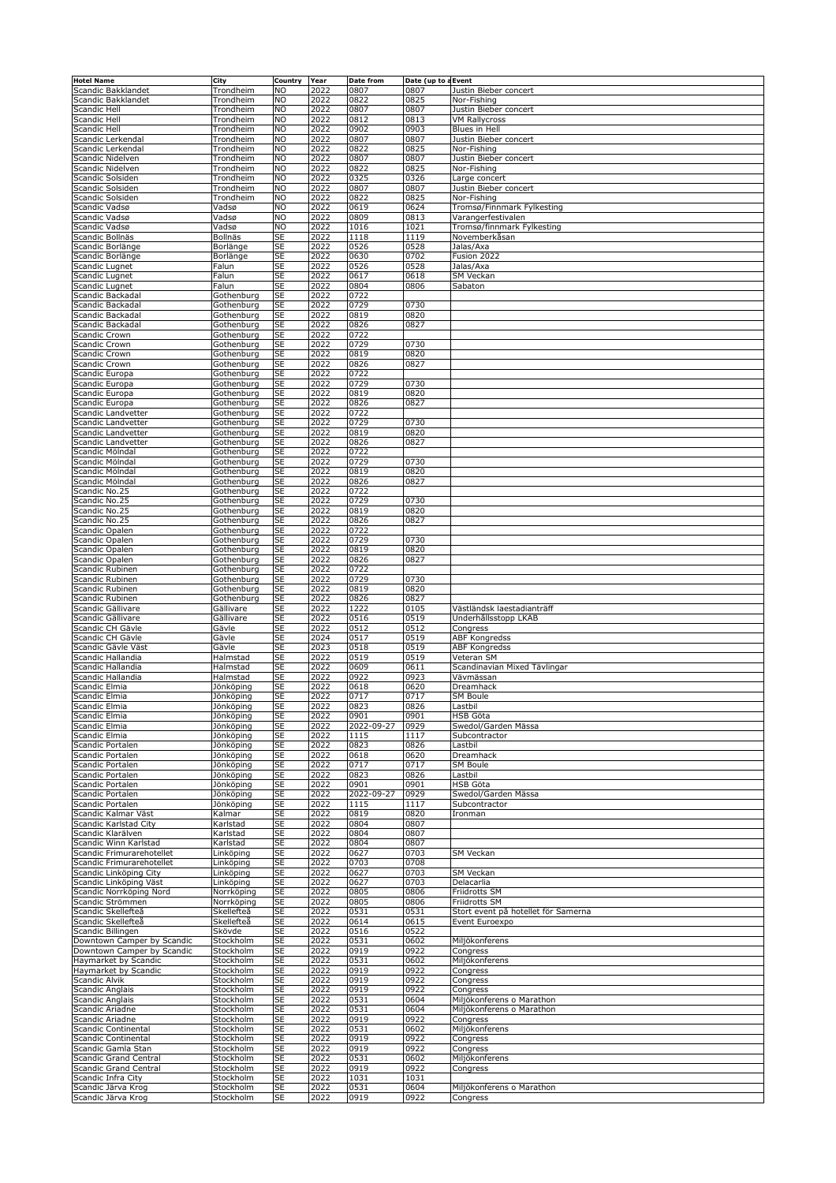| <b>Hotel Name</b>                           | <b>City</b>              | <b>Country</b>           | Year         | <b>Date from</b> | Date (up to a Event |                                                  |
|---------------------------------------------|--------------------------|--------------------------|--------------|------------------|---------------------|--------------------------------------------------|
| Scandic Bakklandet                          | Trondheim                | <b>NO</b>                | 2022         | 0807             | 0807                | Justin Bieber concert                            |
| Scandic Bakklandet                          | Trondheim                | <b>NO</b>                | 2022         | 0822             | 0825                | Nor-Fishing                                      |
| Scandic Hell                                | Trondheim                | <b>NO</b>                | 2022         | 0807             | 0807                | Justin Bieber concert                            |
| <b>Scandic Hell</b><br>Scandic Hell         | Trondheim<br>Trondheim   | <b>NO</b><br><b>NO</b>   | 2022<br>2022 | 0812<br>0902     | 0813<br>0903        | <b>VM Rallycross</b><br>Blues in Hell            |
| Scandic Lerkendal                           | Trondheim                | N <sub>O</sub>           | 2022         | 0807             | 0807                | Justin Bieber concert                            |
| Scandic Lerkendal                           | Trondheim                | <b>NO</b>                | 2022         | 0822             | 0825                | Nor-Fishing                                      |
| Scandic Nidelven                            | Trondheim                | <b>NO</b>                | 2022         | 0807             | 0807                | Justin Bieber concert                            |
| Scandic Nidelven                            | Trondheim                | <b>NO</b>                | 2022         | 0822             | 0825                | Nor-Fishing                                      |
| Scandic Solsiden                            | Trondheim                | <b>NO</b>                | 2022         | 0325             | 0326                | Large concert                                    |
| Scandic Solsiden                            | Trondheim                | <b>NO</b>                | 2022         | 0807             | 0807                | Justin Bieber concert                            |
| Scandic Solsiden                            | Trondheim                | <b>NO</b>                | 2022         | 0822             | 0825                | Nor-Fishing                                      |
| Scandic Vadsø<br>Scandic Vadsø              | Vadsø<br>Vadsø           | <b>NO</b><br><b>NO</b>   | 2022<br>2022 | 0619<br>0809     | 0624<br>0813        | Tromsø/Finnmark Fylkesting<br>Varangerfestivalen |
| Scandic Vadsø                               | Vadsø                    | <b>NO</b>                | 2022         | 1016             | 1021                | Tromsø/finnmark Fylkesting                       |
| Scandic Bollnäs                             | Bollnäs                  | <b>SE</b>                | 2022         | 1118             | 1119                | Novemberkåsan                                    |
| Scandic Borlänge                            | Borlänge                 | SE                       | 2022         | 0526             | 0528                | Jalas/Axa                                        |
| Scandic Borlänge                            | Borlänge                 | <b>SE</b>                | 2022         | 0630             | 0702                | Fusion 2022                                      |
| Scandic Lugnet                              | Falun                    | $\overline{\mathsf{SE}}$ | 2022         | 0526             | 0528                | Jalas/Axa                                        |
| Scandic Lugnet                              | Falun                    | <b>SE</b>                | 2022         | 0617             | 0618                | <b>SM Veckan</b>                                 |
| Scandic Lugnet                              | Falun                    | <b>SE</b>                | 2022         | 0804             | 0806                | Sabaton                                          |
| Scandic Backadal                            | Gothenburg               | <b>SE</b>                | 2022         | 0722             |                     |                                                  |
| Scandic Backadal<br>Scandic Backadal        | Gothenburg<br>Gothenburg | <b>SE</b><br><b>SE</b>   | 2022<br>2022 | 0729<br>0819     | 0730<br>0820        |                                                  |
| Scandic Backadal                            | Gothenburg               | <b>SE</b>                | 2022         | 0826             | 0827                |                                                  |
| <b>Scandic Crown</b>                        | Gothenburg               | <b>SE</b>                | 2022         | 0722             |                     |                                                  |
| <b>Scandic Crown</b>                        | Gothenburg               | <b>SE</b>                | 2022         | 0729             | 0730                |                                                  |
| <b>Scandic Crown</b>                        | Gothenburg               | <b>SE</b>                | 2022         | 0819             | 0820                |                                                  |
| <b>Scandic Crown</b>                        | Gothenburg               | <b>SE</b>                | 2022         | 0826             | 0827                |                                                  |
| Scandic Europa                              | Gothenburg               | <b>SE</b>                | 2022         | 0722             |                     |                                                  |
| Scandic Europa                              | Gothenburg               | <b>SE</b>                | 2022         | 0729             | 0730                |                                                  |
| Scandic Europa                              | Gothenburg               | <b>SE</b>                | 2022         | 0819             | 0820                |                                                  |
| Scandic Europa                              | Gothenburg               | <b>SE</b>                | 2022         | 0826             | 0827                |                                                  |
| Scandic Landvetter                          | Gothenburg               | <b>SE</b>                | 2022         | 0722             |                     |                                                  |
| Scandic Landvetter<br>Scandic Landvetter    | Gothenburg<br>Gothenburg | <b>SE</b><br><b>SE</b>   | 2022<br>2022 | 0729<br>0819     | 0730<br>0820        |                                                  |
| Scandic Landvetter                          | Gothenburg               | <b>SE</b>                | 2022         | 0826             | 0827                |                                                  |
| Scandic Mölndal                             | Gothenburg               | <b>SE</b>                | 2022         | $ 0722\rangle$   |                     |                                                  |
| Scandic Mölndal                             | Gothenburg               | <b>SE</b>                | 2022         | 0729             | 0730                |                                                  |
| Scandic Mölndal                             | Gothenburg               | <b>SE</b>                | 2022         | 0819             | 0820                |                                                  |
| Scandic Mölndal                             | Gothenburg               | <b>SE</b>                | 2022         | 0826             | 0827                |                                                  |
| Scandic No.25                               | Gothenburg               | <b>SE</b>                | 2022         | 0722             |                     |                                                  |
| Scandic No.25                               | Gothenburg               | <b>SE</b>                | 2022         | 0729             | 0730                |                                                  |
| Scandic No.25                               | Gothenburg               | <b>SE</b>                | 2022         | 0819             | 0820                |                                                  |
| Scandic No.25                               | Gothenburg               | <b>SE</b>                | 2022         | 0826             | 0827                |                                                  |
| Scandic Opalen                              | Gothenburg               | <b>SE</b>                | 2022         | 0722             |                     |                                                  |
| Scandic Opalen                              | Gothenburg               | <b>SE</b><br><b>SE</b>   | 2022<br>2022 | 0729<br>0819     | 0730<br>0820        |                                                  |
| Scandic Opalen<br>Scandic Opalen            | Gothenburg<br>Gothenburg | <b>SE</b>                | 2022         | 0826             | 0827                |                                                  |
| Scandic Rubinen                             | Gothenburg               | <b>SE</b>                | 2022         | 0722             |                     |                                                  |
| Scandic Rubinen                             | Gothenburg               | <b>SE</b>                | 2022         | 0729             | 0730                |                                                  |
| Scandic Rubinen                             | Gothenburg               | <b>SE</b>                | 2022         | 0819             | 0820                |                                                  |
| Scandic Rubinen                             | Gothenburg               | <b>SE</b>                | 2022         | 0826             | 0827                |                                                  |
| Scandic Gällivare                           | Gällivare                | <b>SE</b>                | 2022         | 1222             | 0105                | Västländsk laestadianträff                       |
| Scandic Gällivare                           | Gällivare                | <b>SE</b>                | 2022         | 0516             | 0519                | Underhållsstopp LKAB                             |
| Scandic CH Gävle                            | Gävle                    | <b>SE</b>                | 2022         | 0512             | 0512                | Congress                                         |
| Scandic CH Gävle                            | Gävle                    | <b>SE</b>                | 2024         | 0517             | 0519                | <b>ABF Kongredss</b>                             |
| Scandic Gävle Väst                          | Gävle                    | <b>SE</b>                | 2023         | 0518             | 0519                | <b>ABF Kongredss</b>                             |
| Scandic Hallandia                           | Halmstad                 | <b>SE</b>                | 2022         | 0519             | 0519                | Veteran SM                                       |
| Scandic Hallandia<br>Scandic Hallandia      | Halmstad<br>Halmstad     | <b>SE</b><br><b>SE</b>   | 2022<br>2022 | 0609<br>0922     | 0611<br>0923        | Scandinavian Mixed Tävlingar<br>Vävmässan        |
| Scandic Elmia                               | Jönköping                | <b>SE</b>                | 2022         | 0618             | 0620                | Dreamhack                                        |
| Scandic Elmia                               | Jönköping                | <b>SE</b>                | 2022         | 0717             | 0717                | <b>SM Boule</b>                                  |
| Scandic Elmia                               | Jönköping                | <b>SE</b>                | 2022         | 0823             | 0826                | Lastbil                                          |
| Scandic Elmia                               | Jönköping                | <b>SE</b>                | 2022         | 0901             | 0901                | <b>HSB Göta</b>                                  |
| Scandic Elmia                               | Jönköping                | <b>SE</b>                | 2022         | 2022-09-27       | 0929                | Swedol/Garden Mässa                              |
| Scandic Elmia                               | Jönköping                | <b>SE</b>                | 2022         | 1115             | 1117                | Subcontractor                                    |
| Scandic Portalen                            | Jönköping                | <b>SE</b>                | 2022         | 0823             | 0826                | Lastbil                                          |
| Scandic Portalen                            | Jönköping                | <b>SE</b>                | 2022         | 0618             | 0620                | Dreamhack                                        |
| Scandic Portalen                            | Jönköping                | <b>SE</b>                | 2022         | 0717             | 0717                | <b>SM Boule</b>                                  |
| Scandic Portalen                            | Jönköping                | <b>SE</b><br><b>SE</b>   | 2022<br>2022 | 0823<br>0901     | 0826<br>0901        | Lastbil<br><b>HSB Göta</b>                       |
| Scandic Portalen<br>Scandic Portalen        | Jönköping<br>Jönköping   | <b>SE</b>                | 2022         | 2022-09-27       | 0929                | Swedol/Garden Mässa                              |
| Scandic Portalen                            | Jönköping                | <b>SE</b>                | 2022         | $\sqrt{1115}$    | 1117                | Subcontractor                                    |
| Scandic Kalmar Väst                         | Kalmar                   | <b>SE</b>                | 2022         | 0819             | 0820                | Ironman                                          |
| Scandic Karlstad City                       | Karlstad                 | <b>SE</b>                | 2022         | 0804             | 0807                |                                                  |
| Scandic Klarälven                           | Karlstad                 | <b>SE</b>                | 2022         | 0804             | 0807                |                                                  |
| Scandic Winn Karlstad                       | Karlstad                 | <b>SE</b>                | 2022         | 0804             | 0807                |                                                  |
| Scandic Frimurarehotellet                   | Linköping                | <b>SE</b>                | 2022         | 0627             | 0703                | <b>SM Veckan</b>                                 |
| Scandic Frimurarehotellet                   | Linköping                | <b>SE</b>                | 2022         | 0703             | 0708                |                                                  |
| Scandic Linköping City                      | Linköping                | <b>SE</b>                | 2022         | 0627             | 0703                | <b>SM Veckan</b>                                 |
| Scandic Linköping Väst                      | Linköping                | <b>SE</b>                | 2022         | 0627             | 0703<br>0806        | Delacarlia                                       |
| Scandic Norrköping Nord<br>Scandic Strömmen | Norrköping<br>Norrköping | <b>SE</b><br><b>SE</b>   | 2022<br>2022 | 0805<br>0805     | 0806                | Friidrotts SM<br>Friidrotts SM                   |
| Scandic Skellefteå                          | Skellefteå               | <b>SE</b>                | 2022         | 0531             | 0531                | Stort event på hotellet för Samerna              |
| Scandic Skellefteå                          | Skellefteå               | <b>SE</b>                | 2022         | 0614             | 0615                | Event Euroexpo                                   |
| Scandic Billingen                           | Skövde                   | <b>SE</b>                | 2022         | 0516             | 0522                |                                                  |
| Downtown Camper by Scandic                  | Stockholm                | <b>SE</b>                | 2022         | 0531             | 0602                | Miljökonferens                                   |
| Downtown Camper by Scandic                  | Stockholm                | <b>SE</b>                | 2022         | 0919             | 0922                | Congress                                         |
| Haymarket by Scandic                        | Stockholm                | <b>SE</b>                | 2022         | 0531             | 0602                | Miljökonferens                                   |
| Haymarket by Scandic                        | Stockholm                | <b>SE</b>                | 2022         | 0919             | 0922                | Congress                                         |
| Scandic Alvik                               | Stockholm                | <b>SE</b>                | 2022         | 0919             | 0922                | Congress                                         |
| Scandic Anglais                             | Stockholm                | <b>SE</b>                | 2022         | 0919             | 0922                | Congress                                         |
| Scandic Anglais                             | Stockholm                | <b>SE</b>                | 2022         | 0531             | 0604                | Miljökonferens o Marathon                        |
| Scandic Ariadne<br>Scandic Ariadne          | Stockholm<br>Stockholm   | <b>SE</b><br><b>SE</b>   | 2022<br>2022 | 0531<br>0919     | 0604<br>0922        | Miljökonferens o Marathon                        |
| Scandic Continental                         | Stockholm                | <b>SE</b>                | 2022         | 0531             | 0602                | Congress<br>Miljökonferens                       |
| Scandic Continental                         | Stockholm                | <b>SE</b>                | 2022         | 0919             | 0922                | Congress                                         |
| Scandic Gamla Stan                          | Stockholm                | <b>SE</b>                | 2022         | 0919             | 0922                | Congress                                         |
| <b>Scandic Grand Central</b>                | Stockholm                | <b>SE</b>                | 2022         | 0531             | 0602                | Miljökonferens                                   |
| <b>Scandic Grand Central</b>                | Stockholm                | <b>SE</b>                | 2022         | 0919             | 0922                | Congress                                         |
| Scandic Infra City                          | Stockholm                | <b>SE</b>                | 2022         | 1031             | 1031                |                                                  |
| Scandic Järva Krog                          | Stockholm                | <b>SE</b>                | 2022         | 0531             | 0604                | Miljökonferens o Marathon                        |
| Scandic Järva Krog                          | Stockholm                | <b>SE</b>                | 2022         | 0919             | 0922                | Congress                                         |